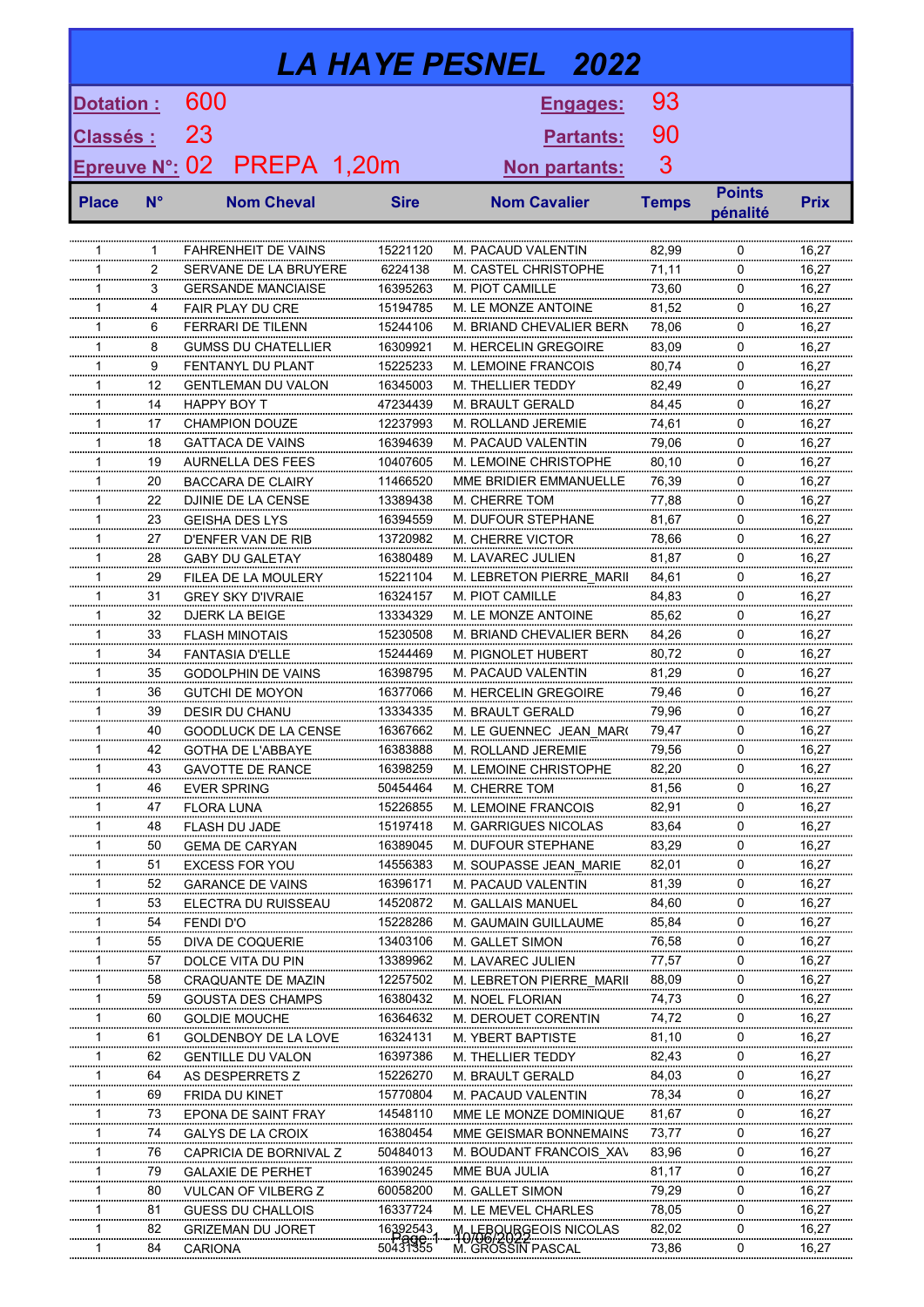| <b>LA HAYE PESNEL</b> 2022 |             |                   |                                                      |  |                                |                                              |                      |                |                           |                |  |
|----------------------------|-------------|-------------------|------------------------------------------------------|--|--------------------------------|----------------------------------------------|----------------------|----------------|---------------------------|----------------|--|
| Dotation :                 |             | 600               |                                                      |  |                                |                                              | Engages:             | 93             |                           |                |  |
| <u> Classés :</u>          |             | 23                |                                                      |  |                                | <b>Partants:</b>                             | 90                   |                |                           |                |  |
|                            |             |                   |                                                      |  |                                |                                              |                      |                |                           |                |  |
| <b>Epreuve N°:</b>         |             | 02                | PREPA 1,20m                                          |  |                                |                                              | <u>Non partants:</u> | 3              |                           |                |  |
| <b>Place</b>               | $N^{\circ}$ |                   | <b>Nom Cheval</b>                                    |  | <b>Sire</b>                    | <b>Nom Cavalier</b>                          |                      | <b>Temps</b>   | <b>Points</b><br>pénalité | <b>Prix</b>    |  |
|                            |             |                   |                                                      |  |                                |                                              |                      |                |                           |                |  |
| 1<br>1                     | 1<br>2      |                   | <b>FAHRENHEIT DE VAINS</b><br>SERVANE DE LA BRUYERE  |  | 15221120<br>6224138            | M. PACAUD VALENTIN<br>M. CASTEL CHRISTOPHE   |                      | 82,99<br>71,11 | 0<br>$\Omega$             | 16,27<br>16,27 |  |
| 1                          | 3           |                   | <b>GERSANDE MANCIAISE</b>                            |  | 16395263                       | M. PIOT CAMILLE                              |                      | 73,60          | 0                         | 16,27          |  |
| 1                          | 4           |                   | <b>FAIR PLAY DU CRE</b>                              |  | 15194785                       | <b>M. LE MONZE ANTOINE</b>                   |                      | 81,52          | 0                         | 16,27          |  |
| 1                          | 6           |                   | <b>FERRARI DE TILENN</b>                             |  | 15244106                       | M. BRIAND CHEVALIER BERN                     |                      | 78,06          | 0                         | 16,27          |  |
| 1                          | 8           |                   | GUMSS DU CHATFLUER                                   |  | 16309921                       | <b>M. HERCELIN GREGOIRE</b>                  |                      | 83,09          | 0                         | 16,27          |  |
| 1                          | 9           |                   | FENTANYL DU PLANT                                    |  | 15225233                       | M. LEMOINE FRANCOIS                          |                      | 80.74          | 0                         | 16,27          |  |
| 1                          | 12          |                   | <b>GENTLEMAN DU VALON</b>                            |  | 16345003                       | M. THELLIER TEDDY                            |                      | 82,49          | 0                         | 16,27          |  |
| 1                          | 14          | HAPPY BOY T       |                                                      |  | 47234439                       | <b>M. BRAULT GERALD</b>                      |                      | 84,45          | 0                         | 16,27          |  |
| 1                          | 17          |                   | <b>CHAMPION DOUZE</b>                                |  | 12237993                       | M. ROLLAND JEREMIE                           |                      | 74,61          | 0                         | 16,27          |  |
| 1<br>1                     | 18<br>19    |                   | <b>GATTACA DE VAINS</b>                              |  | 16394639                       | M. PACAUD VALENTIN<br>M. LEMOINE CHRISTOPHE  |                      | 79,06          | 0<br>0                    | 16,27          |  |
| 1                          | 20          |                   | <b>AURNELLA DES FEES</b><br><b>BACCARA DE CLAIRY</b> |  | 10407605<br>11466520           | MME BRIDIER EMMANUELLE                       |                      | 80,10<br>76,39 | 0                         | 16,27<br>16,27 |  |
| 1                          | 22          |                   | DJINIE DE LA CENSE                                   |  | 13389438                       | <b>M. CHERRE TOM</b>                         |                      | 77,88          | 0                         | 16,27          |  |
| 1                          | 23          |                   | <b>GEISHA DES LYS</b>                                |  | 16394559                       | M. DUFOUR STEPHANE                           |                      | 81,67          | $\Omega$                  | 16,27          |  |
| 1                          | 27          |                   | D'ENFER VAN DE RIB                                   |  | 13720982                       | <b>M. CHERRE VICTOR</b>                      |                      | 78,66          | $\Omega$                  | 16,27          |  |
| 1                          | 28          |                   | <b>GABY DU GALETAY</b>                               |  | 16380489                       | M. LAVAREC JULIEN                            |                      | 81,87          | 0                         | 16,27          |  |
| 1                          | 29          |                   | FILEA DE LA MOULERY                                  |  | 15221104                       | M. LEBRETON PIERRE MARII                     |                      | 84,61          | 0                         | 16,27          |  |
| 1                          | 31          |                   | <b>GREY SKY D'IVRAIE</b>                             |  | 16324157                       | M. PIOT CAMILLE                              |                      | 84,83          | 0                         | 16,27          |  |
| 1                          | 32          |                   | <b>DJERK LA BEIGE</b>                                |  | 13334329                       | <b>M. LE MONZE ANTOINE</b>                   |                      | 85,62          | 0                         | 16,27          |  |
| 1                          | 33          |                   | <b>FLASH MINOTAIS</b>                                |  | 15230508                       | M. BRIAND CHEVALIER BERN                     |                      | 84,26          | 0                         | 16,27          |  |
| 1                          | 34          |                   | <b>FANTASIA D'ELLE</b>                               |  | 15244469                       | <b>M. PIGNOLET HUBERT</b>                    |                      | 80,72          | 0                         | 16,27          |  |
| 1                          | 35          |                   | <b>GODOLPHIN DE VAINS</b>                            |  | 16398795                       | M. PACAUD VALENTIN                           |                      | 81.29          | 0                         | 16.27          |  |
| 1                          | 36          |                   | GUTCHI DE MOYON                                      |  | 16377066                       | M. HERCELIN GREGOIRE                         |                      | 79,46          | 0                         | 16,27          |  |
| 1                          | 39          |                   | <b>DESIR DU CHANU</b>                                |  | 13334335                       | M. BRAULT GERALD                             |                      | 79,96          | 0                         | 16,27          |  |
| 1                          | 40          |                   | GOODLUCK DE LA CENSE                                 |  | 16367662                       | M. LE GUENNEC JEAN MAR(                      |                      | 79,47          | 0                         | 16,27          |  |
| $\mathbf{1}$<br>1          | 42          |                   | <b>GOTHA DE L'ABBAYE</b>                             |  | 16383888<br>16398259           | M. ROLLAND JEREMIE                           |                      | 79,56<br>82,20 | 0<br>0                    | 16,27<br>16,27 |  |
| 1                          | 43<br>46    |                   | <b>GAVOTTE DE RANCE</b><br><b>EVER SPRING</b>        |  | 50454464                       | M. LEMOINE CHRISTOPHE<br>M. CHERRE TOM       |                      | 81,56          | 0                         | 16,27          |  |
| 1                          | 47          | <b>FLORA LUNA</b> |                                                      |  | 15226855                       | M. LEMOINE FRANCOIS                          |                      | 82,91          | 0                         | 16,27          |  |
| 1                          | 48          |                   | FLASH DU JADE                                        |  | 15197418                       | <b>M. GARRIGUES NICOLAS</b>                  |                      | 83,64          | 0                         | 16,27          |  |
| 1                          | 50          |                   | <b>GEMA DE CARYAN</b>                                |  | 16389045                       | M. DUFOUR STEPHANE                           |                      | 83,29          | 0                         | 16,27          |  |
| 1                          | 51          |                   | <b>EXCESS FOR YOU</b>                                |  | 14556383                       | M. SOUPASSE JEAN MARIE                       |                      | 82,01          | $\Omega$                  | 16,27          |  |
| 1                          | 52          |                   | <b>GARANCE DE VAINS</b>                              |  | 16396171                       | M. PACAUD VALENTIN                           |                      | 81,39          | 0                         | 16,27          |  |
| 1                          | 53          |                   | ELECTRA DU RUISSEAU                                  |  | 14520872                       | <b>M. GALLAIS MANUEL</b>                     |                      | 84,60          | 0                         | 16,27          |  |
| 1                          | 54          | <b>FENDI D'O</b>  |                                                      |  | 15228286                       | M. GAUMAIN GUILLAUME                         |                      | 85,84          | 0                         | 16,27          |  |
| 1                          | 55          |                   | DIVA DE COQUERIE                                     |  | 13403106                       | M. GALLET SIMON                              |                      | 76,58          | 0                         | 16,27          |  |
| 1                          | 57          |                   | DOLCE VITA DU PIN                                    |  | 13389962                       | M. LAVAREC JULIEN                            |                      | 77,57          | 0                         | 16,27          |  |
| 1                          | 58          |                   | CRAQUANTE DE MAZIN                                   |  | 12257502                       | M. LEBRETON PIERRE MARII                     |                      | 88,09          | 0                         | 16,27          |  |
| 1                          | 59          |                   | <b>GOUSTA DES CHAMPS</b>                             |  | 16380432                       | M. NOEL FLORIAN                              |                      | 74,73          | 0                         | 16,27          |  |
| 1                          | 60          |                   | <b>GOLDIE MOUCHE</b>                                 |  | 16364632                       | M. DEROUET CORENTIN                          |                      | 74,72          | 0                         | 16,27          |  |
| 1                          | 61          |                   | GOLDENBOY DE LA LOVE                                 |  | 16324131                       | M. YBERT BAPTISTE                            |                      | 81,10          | 0                         | 16,27          |  |
| 1                          | 62          |                   | <b>GENTILLE DU VALON</b>                             |  | 16397386                       | M. THELLIER TEDDY                            |                      | 82,43          | 0                         | 16,27          |  |
| 1<br>1                     | 64<br>69    |                   | AS DESPERRETS Z                                      |  | 15226270<br>15770804           | M. BRAULT GERALD                             |                      | 84,03<br>78,34 | 0<br>0                    | 16,27<br>16,27 |  |
| 1                          | 73          |                   | FRIDA DU KINET<br>EPONA DE SAINT FRAY                |  | 14548110                       | M. PACAUD VALENTIN<br>MME LE MONZE DOMINIQUE |                      | 81,67          | 0                         | 16,27          |  |
| 1                          | 74          |                   | <b>GALYS DE LA CROIX</b>                             |  | 16380454                       | MME GEISMAR BONNEMAINS                       |                      | 73,77          | 0                         | 16,27          |  |
| 1                          | 76          |                   | CAPRICIA DE BORNIVAL Z                               |  | 50484013                       | M. BOUDANT FRANCOIS XAV                      |                      | 83,96          | 0                         | 16,27          |  |
| 1                          | 79          |                   | <b>GALAXIE DE PERHET</b>                             |  | 16390245                       | MME BUA JULIA                                |                      | 81,17          | 0                         | 16,27          |  |
| 1                          | 80          |                   | <b>VULCAN OF VILBERG Z</b>                           |  | 60058200                       | M. GALLET SIMON                              |                      | 79,29          | 0                         | 16,27          |  |
| 1                          | 81          |                   | <b>GUESS DU CHALLOIS</b>                             |  | 16337724                       | M. LE MEVEL CHARLES                          |                      | 78,05          | 0                         | 16,27          |  |
| 1                          | 82          |                   | GRIZEMAN DU JORET                                    |  |                                | <b>MOVEBOURGEOIS NICOLAS</b>                 |                      | 82,02          | 0                         | 16,27          |  |
| 1                          | 84          | <b>CARIONA</b>    |                                                      |  | 16392543<br>- Page<br>50431355 | M. GROSSIN PASCAL                            |                      | 73,86          | 0                         | 16,27          |  |